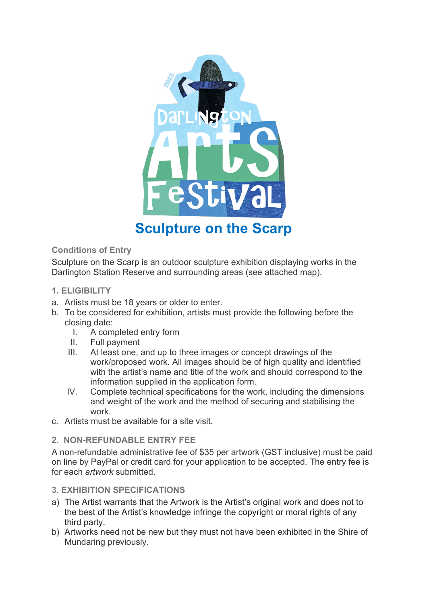

# **Sculpture on the Scarp**

# **Conditions of Entry**

Sculpture on the Scarp is an outdoor sculpture exhibition displaying works in the Darlington Station Reserve and surrounding areas (see attached map).

- **1. ELIGIBILITY**
- a. Artists must be 18 years or older to enter.
- b. To be considered for exhibition, artists must provide the following before the closing date:
	- I. A completed entry form
	- II. Full payment
	- III. At least one, and up to three images or concept drawings of the work/proposed work. All images should be of high quality and identified with the artist's name and title of the work and should correspond to the information supplied in the application form.
	- IV. Complete technical specifications for the work, including the dimensions and weight of the work and the method of securing and stabilising the work.
- c. Artists must be available for a site visit.

# **2. NON-REFUNDABLE ENTRY FEE**

A non-refundable administrative fee of \$35 per artwork (GST inclusive) must be paid on line by PayPal or credit card for your application to be accepted. The entry fee is for each *artwork* submitted.

# **3. EXHIBITION SPECIFICATIONS**

- a) The Artist warrants that the Artwork is the Artist's original work and does not to the best of the Artist's knowledge infringe the copyright or moral rights of any third party.
- b) Artworks need not be new but they must not have been exhibited in the Shire of Mundaring previously.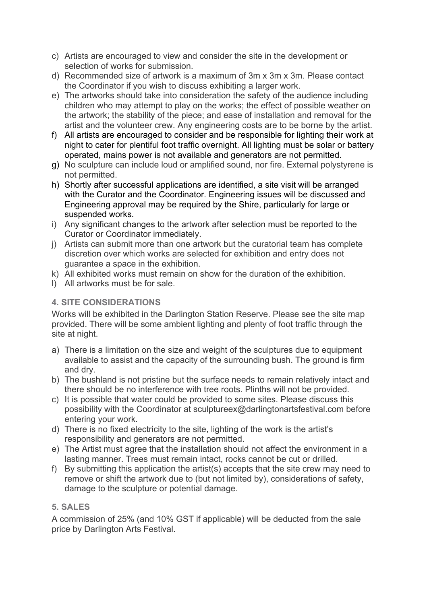- c) Artists are encouraged to view and consider the site in the development or selection of works for submission.
- d) Recommended size of artwork is a maximum of 3m x 3m x 3m. Please contact the Coordinator if you wish to discuss exhibiting a larger work.
- e) The artworks should take into consideration the safety of the audience including children who may attempt to play on the works; the effect of possible weather on the artwork; the stability of the piece; and ease of installation and removal for the artist and the volunteer crew. Any engineering costs are to be borne by the artist.
- f) All artists are encouraged to consider and be responsible for lighting their work at night to cater for plentiful foot traffic overnight. All lighting must be solar or battery operated, mains power is not available and generators are not permitted.
- g) No sculpture can include loud or amplified sound, nor fire. External polystyrene is not permitted.
- h) Shortly after successful applications are identified, a site visit will be arranged with the Curator and the Coordinator. Engineering issues will be discussed and Engineering approval may be required by the Shire, particularly for large or suspended works.
- i) Any significant changes to the artwork after selection must be reported to the Curator or Coordinator immediately.
- j) Artists can submit more than one artwork but the curatorial team has complete discretion over which works are selected for exhibition and entry does not guarantee a space in the exhibition.
- k) All exhibited works must remain on show for the duration of the exhibition.
- l) All artworks must be for sale.

# **4. SITE CONSIDERATIONS**

Works will be exhibited in the Darlington Station Reserve. Please see the site map provided. There will be some ambient lighting and plenty of foot traffic through the site at night.

- a) There is a limitation on the size and weight of the sculptures due to equipment available to assist and the capacity of the surrounding bush. The ground is firm and dry.
- b) The bushland is not pristine but the surface needs to remain relatively intact and there should be no interference with tree roots. Plinths will not be provided.
- c) It is possible that water could be provided to some sites. Please discuss this possibility with the Coordinator at sculptureex@darlingtonartsfestival.com before entering your work.
- d) There is no fixed electricity to the site, lighting of the work is the artist's responsibility and generators are not permitted.
- e) The Artist must agree that the installation should not affect the environment in a lasting manner. Trees must remain intact, rocks cannot be cut or drilled.
- f) By submitting this application the artist(s) accepts that the site crew may need to remove or shift the artwork due to (but not limited by), considerations of safety, damage to the sculpture or potential damage.

# **5. SALES**

A commission of 25% (and 10% GST if applicable) will be deducted from the sale price by Darlington Arts Festival.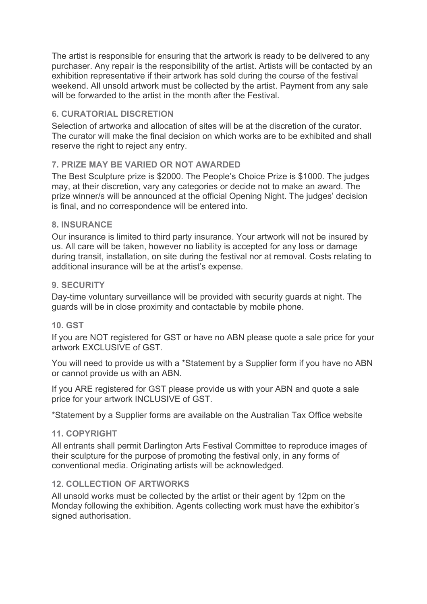The artist is responsible for ensuring that the artwork is ready to be delivered to any purchaser. Any repair is the responsibility of the artist. Artists will be contacted by an exhibition representative if their artwork has sold during the course of the festival weekend. All unsold artwork must be collected by the artist. Payment from any sale will be forwarded to the artist in the month after the Festival.

# **6. CURATORIAL DISCRETION**

Selection of artworks and allocation of sites will be at the discretion of the curator. The curator will make the final decision on which works are to be exhibited and shall reserve the right to reject any entry.

# **7. PRIZE MAY BE VARIED OR NOT AWARDED**

The Best Sculpture prize is \$2000. The People's Choice Prize is \$1000. The judges may, at their discretion, vary any categories or decide not to make an award. The prize winner/s will be announced at the official Opening Night. The judges' decision is final, and no correspondence will be entered into.

# **8. INSURANCE**

Our insurance is limited to third party insurance. Your artwork will not be insured by us. All care will be taken, however no liability is accepted for any loss or damage during transit, installation, on site during the festival nor at removal. Costs relating to additional insurance will be at the artist's expense.

#### **9. SECURITY**

Day-time voluntary surveillance will be provided with security guards at night. The guards will be in close proximity and contactable by mobile phone.

# **10. GST**

If you are NOT registered for GST or have no ABN please quote a sale price for your artwork EXCLUSIVE of GST.

You will need to provide us with a \*Statement by a Supplier form if you have no ABN or cannot provide us with an ABN.

If you ARE registered for GST please provide us with your ABN and quote a sale price for your artwork INCLUSIVE of GST.

\*Statement by a Supplier forms are available on the Australian Tax Office website

#### **11. COPYRIGHT**

All entrants shall permit Darlington Arts Festival Committee to reproduce images of their sculpture for the purpose of promoting the festival only, in any forms of conventional media. Originating artists will be acknowledged.

# **12. COLLECTION OF ARTWORKS**

All unsold works must be collected by the artist or their agent by 12pm on the Monday following the exhibition. Agents collecting work must have the exhibitor's signed authorisation.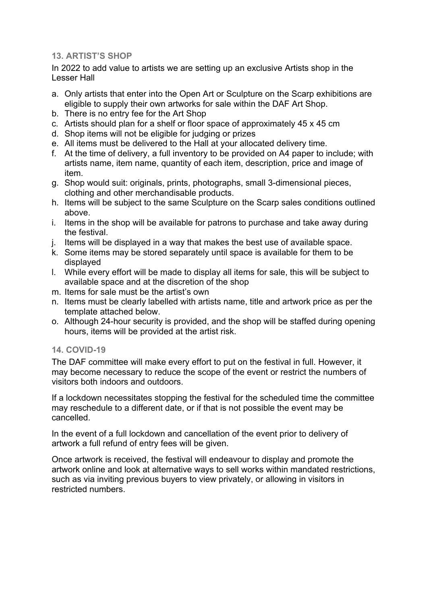## **13. ARTIST'S SHOP**

In 2022 to add value to artists we are setting up an exclusive Artists shop in the Lesser Hall

- a. Only artists that enter into the Open Art or Sculpture on the Scarp exhibitions are eligible to supply their own artworks for sale within the DAF Art Shop.
- b. There is no entry fee for the Art Shop
- c. Artists should plan for a shelf or floor space of approximately 45 x 45 cm
- d. Shop items will not be eligible for judging or prizes
- e. All items must be delivered to the Hall at your allocated delivery time.
- f. At the time of delivery, a full inventory to be provided on A4 paper to include; with artists name, item name, quantity of each item, description, price and image of item.
- g. Shop would suit: originals, prints, photographs, small 3-dimensional pieces, clothing and other merchandisable products.
- h. Items will be subject to the same Sculpture on the Scarp sales conditions outlined above.
- i. Items in the shop will be available for patrons to purchase and take away during the festival.
- j. Items will be displayed in a way that makes the best use of available space.
- k. Some items may be stored separately until space is available for them to be displayed
- l. While every effort will be made to display all items for sale, this will be subject to available space and at the discretion of the shop
- m. Items for sale must be the artist's own
- n. Items must be clearly labelled with artists name, title and artwork price as per the template attached below.
- o. Although 24-hour security is provided, and the shop will be staffed during opening hours, items will be provided at the artist risk.

# **14. COVID-19**

The DAF committee will make every effort to put on the festival in full. However, it may become necessary to reduce the scope of the event or restrict the numbers of visitors both indoors and outdoors.

If a lockdown necessitates stopping the festival for the scheduled time the committee may reschedule to a different date, or if that is not possible the event may be cancelled.

In the event of a full lockdown and cancellation of the event prior to delivery of artwork a full refund of entry fees will be given.

Once artwork is received, the festival will endeavour to display and promote the artwork online and look at alternative ways to sell works within mandated restrictions, such as via inviting previous buyers to view privately, or allowing in visitors in restricted numbers.